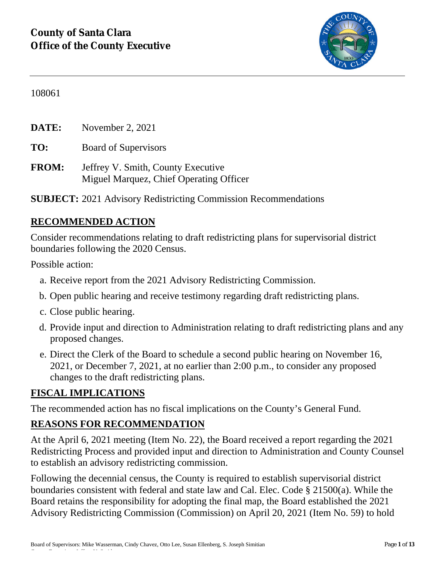

108061

**DATE:** November 2, 2021

**TO:** Board of Supervisors

**FROM:** Jeffrey V. Smith, County Executive Miguel Marquez, Chief Operating Officer

**SUBJECT:** 2021 Advisory Redistricting Commission Recommendations

#### **RECOMMENDED ACTION**

Consider recommendations relating to draft redistricting plans for supervisorial district boundaries following the 2020 Census.

Possible action:

- a. Receive report from the 2021 Advisory Redistricting Commission.
- b. Open public hearing and receive testimony regarding draft redistricting plans.
- c. Close public hearing.
- d. Provide input and direction to Administration relating to draft redistricting plans and any proposed changes.
- e. Direct the Clerk of the Board to schedule a second public hearing on November 16, 2021, or December 7, 2021, at no earlier than 2:00 p.m., to consider any proposed changes to the draft redistricting plans.

## **FISCAL IMPLICATIONS**

County Executive: Jeffrey V. Smith

The recommended action has no fiscal implications on the County's General Fund.

## **REASONS FOR RECOMMENDATION**

At the April 6, 2021 meeting (Item No. 22), the Board received a report regarding the 2021 Redistricting Process and provided input and direction to Administration and County Counsel to establish an advisory redistricting commission.

Following the decennial census, the County is required to establish supervisorial district boundaries consistent with federal and state law and Cal. Elec. Code § 21500(a). While the Board retains the responsibility for adopting the final map, the Board established the 2021 Advisory Redistricting Commission (Commission) on April 20, 2021 (Item No. 59) to hold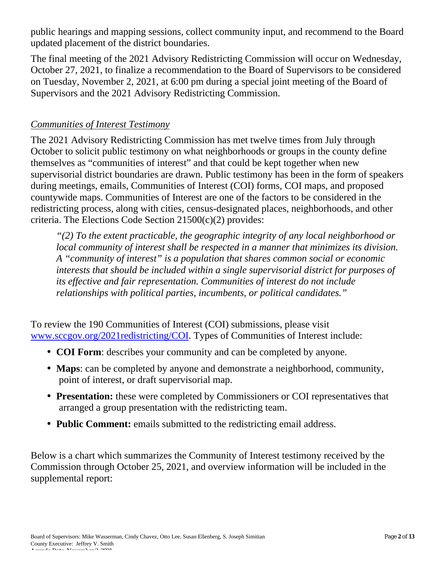public hearings and mapping sessions, collect community input, and recommend to the Board updated placement of the district boundaries.

The final meeting of the 2021 Advisory Redistricting Commission will occur on Wednesday, October 27, 2021, to finalize a recommendation to the Board of Supervisors to be considered on Tuesday, November 2, 2021, at 6:00 pm during a special joint meeting of the Board of Supervisors and the 2021 Advisory Redistricting Commission.

#### *Communities of Interest Testimony*

The 2021 Advisory Redistricting Commission has met twelve times from July through October to solicit public testimony on what neighborhoods or groups in the county define themselves as "communities of interest" and that could be kept together when new supervisorial district boundaries are drawn. Public testimony has been in the form of speakers during meetings, emails, Communities of Interest (COI) forms, COI maps, and proposed countywide maps. Communities of Interest are one of the factors to be considered in the redistricting process, along with cities, census-designated places, neighborhoods, and other criteria. The Elections Code Section 21500(c)(2) provides:

*"(2) To the extent practicable, the geographic integrity of any local neighborhood or local community of interest shall be respected in a manner that minimizes its division. A "community of interest" is a population that shares common social or economic interests that should be included within a single supervisorial district for purposes of its effective and fair representation. Communities of interest do not include relationships with political parties, incumbents, or political candidates."*

To review the 190 Communities of Interest (COI) submissions, please visit www.sccgov.org/2021redistricting/COI. Types of Communities of Interest include:

- **COI Form**: describes your community and can be completed by anyone.
- **Maps**: can be completed by anyone and demonstrate a neighborhood, community, point of interest, or draft supervisorial map.
- **Presentation:** these were completed by Commissioners or COI representatives that arranged a group presentation with the redistricting team.
- **Public Comment:** emails submitted to the redistricting email address.

Below is a chart which summarizes the Community of Interest testimony received by the Commission through October 25, 2021, and overview information will be included in the supplemental report: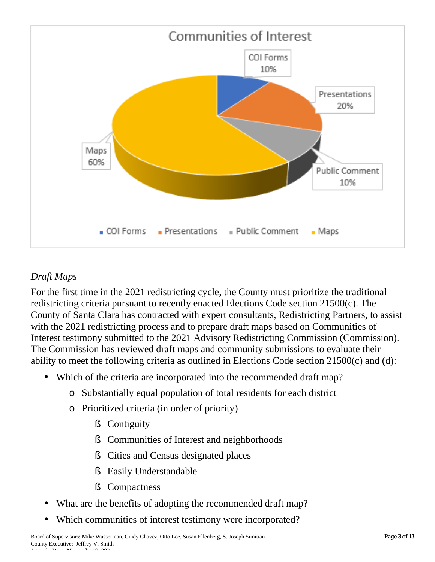

## *Draft Maps*

For the first time in the 2021 redistricting cycle, the County must prioritize the traditional redistricting criteria pursuant to recently enacted Elections Code section 21500(c). The County of Santa Clara has contracted with expert consultants, Redistricting Partners, to assist with the 2021 redistricting process and to prepare draft maps based on Communities of Interest testimony submitted to the 2021 Advisory Redistricting Commission (Commission). The Commission has reviewed draft maps and community submissions to evaluate their ability to meet the following criteria as outlined in Elections Code section 21500(c) and (d):

- Which of the criteria are incorporated into the recommended draft map?
	- o Substantially equal population of total residents for each district
	- o Prioritized criteria (in order of priority)
		- § Contiguity
		- § Communities of Interest and neighborhoods
		- § Cities and Census designated places
		- § Easily Understandable
		- § Compactness
- What are the benefits of adopting the recommended draft map?
- Which communities of interest testimony were incorporated?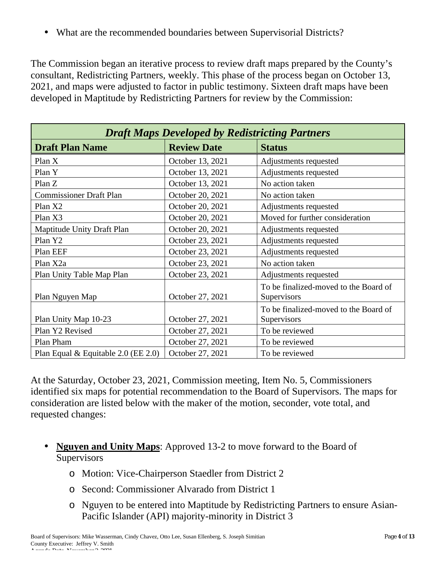• What are the recommended boundaries between Supervisorial Districts?

The Commission began an iterative process to review draft maps prepared by the County's consultant, Redistricting Partners, weekly. This phase of the process began on October 13, 2021, and maps were adjusted to factor in public testimony. Sixteen draft maps have been developed in Maptitude by Redistricting Partners for review by the Commission:

| <b>Draft Maps Developed by Redistricting Partners</b> |                    |                                                      |  |  |  |
|-------------------------------------------------------|--------------------|------------------------------------------------------|--|--|--|
| <b>Draft Plan Name</b>                                | <b>Review Date</b> | <b>Status</b>                                        |  |  |  |
| Plan X                                                | October 13, 2021   | Adjustments requested                                |  |  |  |
| Plan Y                                                | October 13, 2021   | Adjustments requested                                |  |  |  |
| Plan Z                                                | October 13, 2021   | No action taken                                      |  |  |  |
| <b>Commissioner Draft Plan</b>                        | October 20, 2021   | No action taken                                      |  |  |  |
| Plan X2                                               | October 20, 2021   | Adjustments requested                                |  |  |  |
| Plan X3                                               | October 20, 2021   | Moved for further consideration                      |  |  |  |
| Maptitude Unity Draft Plan                            | October 20, 2021   | Adjustments requested                                |  |  |  |
| Plan Y2                                               | October 23, 2021   | Adjustments requested                                |  |  |  |
| Plan EEF                                              | October 23, 2021   | Adjustments requested                                |  |  |  |
| Plan X2a                                              | October 23, 2021   | No action taken                                      |  |  |  |
| Plan Unity Table Map Plan                             | October 23, 2021   | Adjustments requested                                |  |  |  |
| Plan Nguyen Map                                       | October 27, 2021   | To be finalized-moved to the Board of<br>Supervisors |  |  |  |
| Plan Unity Map 10-23                                  | October 27, 2021   | To be finalized-moved to the Board of<br>Supervisors |  |  |  |
| Plan Y2 Revised                                       | October 27, 2021   | To be reviewed                                       |  |  |  |
| Plan Pham                                             | October 27, 2021   | To be reviewed                                       |  |  |  |
| Plan Equal & Equitable 2.0 (EE 2.0)                   | October 27, 2021   | To be reviewed                                       |  |  |  |

At the Saturday, October 23, 2021, Commission meeting, Item No. 5, Commissioners identified six maps for potential recommendation to the Board of Supervisors. The maps for consideration are listed below with the maker of the motion, seconder, vote total, and requested changes:

- **Nguyen and Unity Maps**: Approved 13-2 to move forward to the Board of **Supervisors** 
	- o Motion: Vice-Chairperson Staedler from District 2
	- o Second: Commissioner Alvarado from District 1
	- o Nguyen to be entered into Maptitude by Redistricting Partners to ensure Asian-Pacific Islander (API) majority-minority in District 3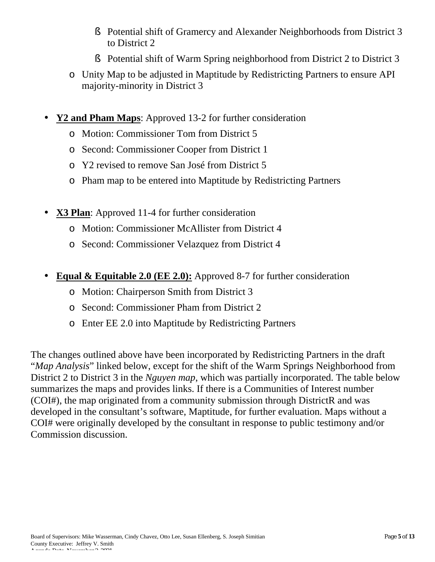- § Potential shift of Gramercy and Alexander Neighborhoods from District 3 to District 2
- § Potential shift of Warm Spring neighborhood from District 2 to District 3
- o Unity Map to be adjusted in Maptitude by Redistricting Partners to ensure API majority-minority in District 3
- **Y2 and Pham Maps**: Approved 13-2 for further consideration
	- o Motion: Commissioner Tom from District 5
	- o Second: Commissioner Cooper from District 1
	- o Y2 revised to remove San José from District 5
	- o Pham map to be entered into Maptitude by Redistricting Partners
- **X3 Plan**: Approved 11-4 for further consideration
	- o Motion: Commissioner McAllister from District 4
	- o Second: Commissioner Velazquez from District 4
- **Equal & Equitable 2.0 (EE 2.0):** Approved 8-7 for further consideration
	- o Motion: Chairperson Smith from District 3
	- o Second: Commissioner Pham from District 2
	- o Enter EE 2.0 into Maptitude by Redistricting Partners

The changes outlined above have been incorporated by Redistricting Partners in the draft "*Map Analysis*" linked below, except for the shift of the Warm Springs Neighborhood from District 2 to District 3 in the *Nguyen map*, which was partially incorporated. The table below summarizes the maps and provides links. If there is a Communities of Interest number (COI#), the map originated from a community submission through DistrictR and was developed in the consultant's software, Maptitude, for further evaluation. Maps without a COI# were originally developed by the consultant in response to public testimony and/or Commission discussion.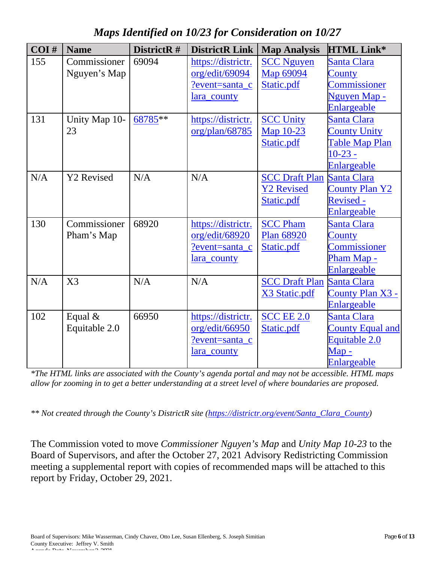*Maps Identified on 10/23 for Consideration on 10/27*

| COI# | <b>Name</b>       | DistrictR# | <b>DistrictR Link</b> | <b>Map Analysis</b>   | <b>HTML Link*</b>       |
|------|-------------------|------------|-----------------------|-----------------------|-------------------------|
| 155  | Commissioner      | 69094      | https://districtr.    | <b>SCC Nguyen</b>     | Santa Clara             |
|      | Nguyen's Map      |            | org/edit/69094        | Map 69094             | County                  |
|      |                   |            | ?event=santa c        | Static.pdf            | Commissioner            |
|      |                   |            | lara_county           |                       | Nguyen Map -            |
|      |                   |            |                       |                       | Enlargeable             |
| 131  | Unity Map 10-     | 68785**    | https://districtr.    | <b>SCC Unity</b>      | Santa Clara             |
|      | 23                |            | org/plan/68785        | Map 10-23             | <b>County Unity</b>     |
|      |                   |            |                       | Static.pdf            | Table Map Plan          |
|      |                   |            |                       |                       | $10 - 23 -$             |
|      |                   |            |                       |                       | Enlargeable             |
| N/A  | <b>Y2</b> Revised | N/A        | N/A                   | <b>SCC Draft Plan</b> | <b>Santa Clara</b>      |
|      |                   |            |                       | <b>Y2 Revised</b>     | <b>County Plan Y2</b>   |
|      |                   |            |                       | Static.pdf            | <b>Revised -</b>        |
|      |                   |            |                       |                       | <b>Enlargeable</b>      |
| 130  | Commissioner      | 68920      | https://districtr.    | <b>SCC Pham</b>       | Santa Clara             |
|      | Pham's Map        |            | org/edit/68920        | Plan 68920            | County                  |
|      |                   |            | ?event=santa c        | Static.pdf            | <b>Commissioner</b>     |
|      |                   |            | lara_county           |                       | Pham Map -              |
|      |                   |            |                       |                       | Enlargeable             |
| N/A  | X3                | N/A        | N/A                   | <b>SCC Draft Plan</b> | <b>Santa Clara</b>      |
|      |                   |            |                       | X3 Static.pdf         | County Plan X3 -        |
|      |                   |            |                       |                       | Enlargeable             |
| 102  | Equal &           | 66950      | https://districtr.    | <b>SCC EE 2.0</b>     | Santa Clara             |
|      | Equitable 2.0     |            | org/edit/66950        | Static.pdf            | <b>County Equal and</b> |
|      |                   |            | ?event=santa_c        |                       | Equitable 2.0           |
|      |                   |            | lara_county           |                       | $\mathbf{Map}$ -        |
|      |                   |            |                       |                       | Enlargeable             |

*\*The HTML links are associated with the County's agenda portal and may not be accessible. HTML maps allow for zooming in to get a better understanding at a street level of where boundaries are proposed.*

*\*\* Not created through the County's DistrictR site (https://districtr.org/event/Santa\_Clara\_County)* 

The Commission voted to move *Commissioner Nguyen's Map* and *Unity Map 10-23* to the Board of Supervisors, and after the October 27, 2021 Advisory Redistricting Commission meeting a supplemental report with copies of recommended maps will be attached to this report by Friday, October 29, 2021.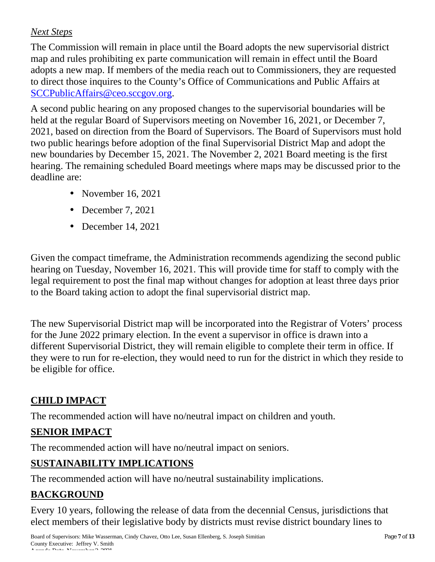## *Next Steps*

The Commission will remain in place until the Board adopts the new supervisorial district map and rules prohibiting ex parte communication will remain in effect until the Board adopts a new map. If members of the media reach out to Commissioners, they are requested to direct those inquires to the County's Office of Communications and Public Affairs at SCCPublicAffairs@ceo.sccgov.org.

A second public hearing on any proposed changes to the supervisorial boundaries will be held at the regular Board of Supervisors meeting on November 16, 2021, or December 7, 2021, based on direction from the Board of Supervisors. The Board of Supervisors must hold two public hearings before adoption of the final Supervisorial District Map and adopt the new boundaries by December 15, 2021. The November 2, 2021 Board meeting is the first hearing. The remaining scheduled Board meetings where maps may be discussed prior to the deadline are:

- November 16, 2021
- December 7, 2021
- December 14, 2021

Given the compact timeframe, the Administration recommends agendizing the second public hearing on Tuesday, November 16, 2021. This will provide time for staff to comply with the legal requirement to post the final map without changes for adoption at least three days prior to the Board taking action to adopt the final supervisorial district map.

The new Supervisorial District map will be incorporated into the Registrar of Voters' process for the June 2022 primary election. In the event a supervisor in office is drawn into a different Supervisorial District, they will remain eligible to complete their term in office. If they were to run for re-election, they would need to run for the district in which they reside to be eligible for office.

# **CHILD IMPACT**

The recommended action will have no/neutral impact on children and youth.

# **SENIOR IMPACT**

The recommended action will have no/neutral impact on seniors.

# **SUSTAINABILITY IMPLICATIONS**

The recommended action will have no/neutral sustainability implications.

# **BACKGROUND**

Every 10 years, following the release of data from the decennial Census, jurisdictions that elect members of their legislative body by districts must revise district boundary lines to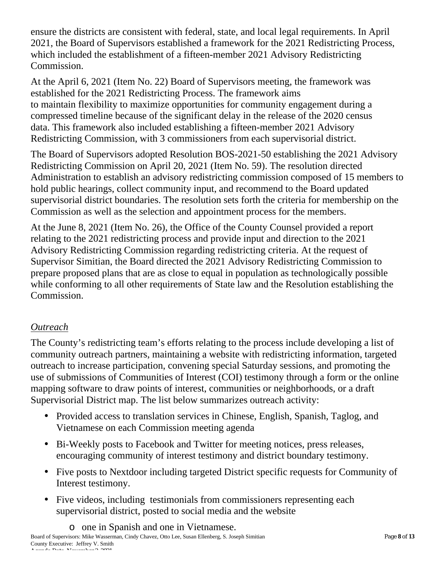ensure the districts are consistent with federal, state, and local legal requirements. In April 2021, the Board of Supervisors established a framework for the 2021 Redistricting Process, which included the establishment of a fifteen-member 2021 Advisory Redistricting Commission.

At the April 6, 2021 (Item No. 22) Board of Supervisors meeting, the framework was established for the 2021 Redistricting Process. The framework aims to maintain flexibility to maximize opportunities for community engagement during a compressed timeline because of the significant delay in the release of the 2020 census data. This framework also included establishing a fifteen-member 2021 Advisory Redistricting Commission, with 3 commissioners from each supervisorial district.

The Board of Supervisors adopted Resolution BOS-2021-50 establishing the 2021 Advisory Redistricting Commission on April 20, 2021 (Item No. 59). The resolution directed Administration to establish an advisory redistricting commission composed of 15 members to hold public hearings, collect community input, and recommend to the Board updated supervisorial district boundaries. The resolution sets forth the criteria for membership on the Commission as well as the selection and appointment process for the members.

At the June 8, 2021 (Item No. 26), the Office of the County Counsel provided a report relating to the 2021 redistricting process and provide input and direction to the 2021 Advisory Redistricting Commission regarding redistricting criteria. At the request of Supervisor Simitian, the Board directed the 2021 Advisory Redistricting Commission to prepare proposed plans that are as close to equal in population as technologically possible while conforming to all other requirements of State law and the Resolution establishing the Commission.

## *Outreach*

The County's redistricting team's efforts relating to the process include developing a list of community outreach partners, maintaining a website with redistricting information, targeted outreach to increase participation, convening special Saturday sessions, and promoting the use of submissions of Communities of Interest (COI) testimony through a form or the online mapping software to draw points of interest, communities or neighborhoods, or a draft Supervisorial District map. The list below summarizes outreach activity:

- Provided access to translation services in Chinese, English, Spanish, Taglog, and Vietnamese on each Commission meeting agenda
- Bi-Weekly posts to Facebook and Twitter for meeting notices, press releases, encouraging community of interest testimony and district boundary testimony.
- Five posts to Nextdoor including targeted District specific requests for Community of Interest testimony.
- Five videos, including testimonials from commissioners representing each supervisorial district, posted to social media and the website

Board of Supervisors: Mike Wasserman, Cindy Chavez, Otto Lee, Susan Ellenberg, S. Joseph Simitian Page **8** of **13** County Executive: Jeffrey V. Smith Agenda Date: November 2, 2021 o one in Spanish and one in Vietnamese.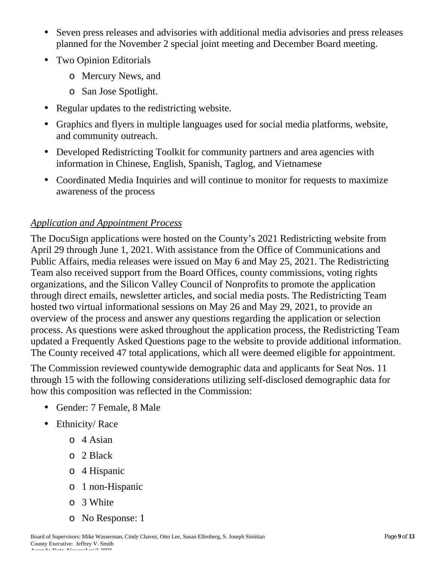- Seven press releases and advisories with additional media advisories and press releases planned for the November 2 special joint meeting and December Board meeting.
- Two Opinion Editorials
	- o Mercury News, and
	- o San Jose Spotlight.
- Regular updates to the redistricting website.
- Graphics and flyers in multiple languages used for social media platforms, website, and community outreach.
- Developed Redistricting Toolkit for community partners and area agencies with information in Chinese, English, Spanish, Taglog, and Vietnamese
- Coordinated Media Inquiries and will continue to monitor for requests to maximize awareness of the process

#### *Application and Appointment Process*

The DocuSign applications were hosted on the County's 2021 Redistricting website from April 29 through June 1, 2021. With assistance from the Office of Communications and Public Affairs, media releases were issued on May 6 and May 25, 2021. The Redistricting Team also received support from the Board Offices, county commissions, voting rights organizations, and the Silicon Valley Council of Nonprofits to promote the application through direct emails, newsletter articles, and social media posts. The Redistricting Team hosted two virtual informational sessions on May 26 and May 29, 2021, to provide an overview of the process and answer any questions regarding the application or selection process. As questions were asked throughout the application process, the Redistricting Team updated a Frequently Asked Questions page to the website to provide additional information. The County received 47 total applications, which all were deemed eligible for appointment.

The Commission reviewed countywide demographic data and applicants for Seat Nos. 11 through 15 with the following considerations utilizing self-disclosed demographic data for how this composition was reflected in the Commission:

- Gender: 7 Female, 8 Male
- Ethnicity/Race
	- o 4 Asian
	- o 2 Black
	- o 4 Hispanic
	- o 1 non-Hispanic
	- o 3 White
	- o No Response: 1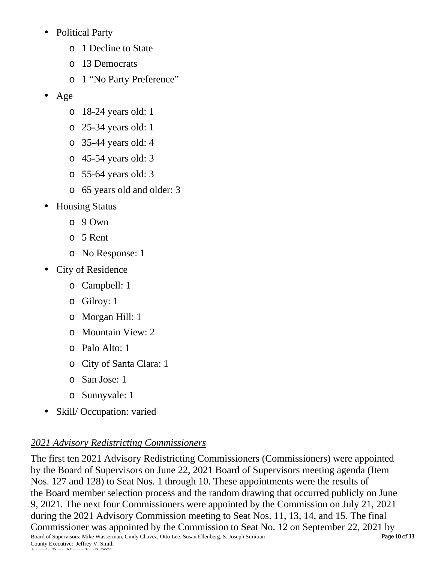- Political Party
	- o 1 Decline to State
	- o 13 Democrats
	- o 1 "No Party Preference"
- Age
	- o 18-24 years old: 1
	- o 25-34 years old: 1
	- o 35-44 years old: 4
	- o 45-54 years old: 3
	- o 55-64 years old: 3
	- o 65 years old and older: 3
- Housing Status
	- o 9 Own
	- o 5 Rent
	- o No Response: 1
- City of Residence
	- o Campbell: 1
	- o Gilroy: 1
	- o Morgan Hill: 1
	- o Mountain View: 2
	- o Palo Alto: 1
	- o City of Santa Clara: 1
	- o San Jose: 1
	- o Sunnyvale: 1
- Skill/ Occupation: varied

# *2021 Advisory Redistricting Commissioners*

Board of Supervisors: Mike Wasserman, Cindy Chavez, Otto Lee, Susan Ellenberg, S. Joseph Simitian Page **10** of **13** County Executive: Jeffrey V. Smith Agenda Date: November 2, 2021 The first ten 2021 Advisory Redistricting Commissioners (Commissioners) were appointed by the Board of Supervisors on June 22, 2021 Board of Supervisors meeting agenda (Item Nos. 127 and 128) to Seat Nos. 1 through 10. These appointments were the results of the Board member selection process and the random drawing that occurred publicly on June 9, 2021. The next four Commissioners were appointed by the Commission on July 21, 2021 during the 2021 Advisory Commission meeting to Seat Nos. 11, 13, 14, and 15. The final Commissioner was appointed by the Commission to Seat No. 12 on September 22, 2021 by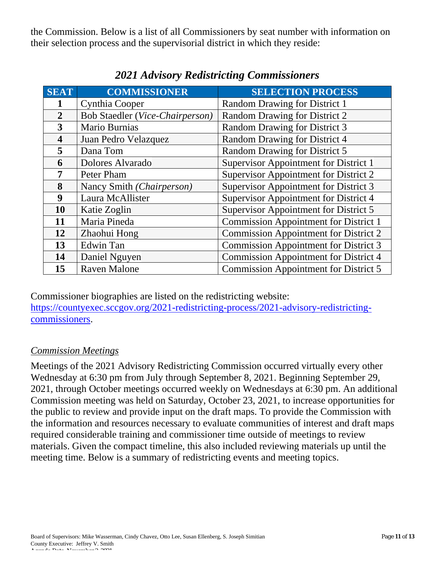the Commission. Below is a list of all Commissioners by seat number with information on their selection process and the supervisorial district in which they reside:

| <b>SEAT</b>             | <b>COMMISSIONER</b>             | <b>SELECTION PROCESS</b>                     |
|-------------------------|---------------------------------|----------------------------------------------|
|                         | Cynthia Cooper                  | <b>Random Drawing for District 1</b>         |
| $\overline{2}$          | Bob Staedler (Vice-Chairperson) | Random Drawing for District 2                |
| 3                       | Mario Burnias                   | Random Drawing for District 3                |
| $\overline{\mathbf{4}}$ | Juan Pedro Velazquez            | Random Drawing for District 4                |
| 5                       | Dana Tom                        | Random Drawing for District 5                |
| 6                       | Dolores Alvarado                | Supervisor Appointment for District 1        |
| 7                       | Peter Pham                      | Supervisor Appointment for District 2        |
| 8                       | Nancy Smith (Chairperson)       | Supervisor Appointment for District 3        |
| 9                       | Laura McAllister                | Supervisor Appointment for District 4        |
| <b>10</b>               | Katie Zoglin                    | Supervisor Appointment for District 5        |
| 11                      | Maria Pineda                    | <b>Commission Appointment for District 1</b> |
| 12                      | Zhaohui Hong                    | <b>Commission Appointment for District 2</b> |
| 13                      | <b>Edwin Tan</b>                | <b>Commission Appointment for District 3</b> |
| 14                      | Daniel Nguyen                   | <b>Commission Appointment for District 4</b> |
| 15                      | Raven Malone                    | <b>Commission Appointment for District 5</b> |

# *2021 Advisory Redistricting Commissioners*

Commissioner biographies are listed on the redistricting website: https://countyexec.sccgov.org/2021-redistricting-process/2021-advisory-redistrictingcommissioners.

#### *Commission Meetings*

Meetings of the 2021 Advisory Redistricting Commission occurred virtually every other Wednesday at 6:30 pm from July through September 8, 2021. Beginning September 29, 2021, through October meetings occurred weekly on Wednesdays at 6:30 pm. An additional Commission meeting was held on Saturday, October 23, 2021, to increase opportunities for the public to review and provide input on the draft maps. To provide the Commission with the information and resources necessary to evaluate communities of interest and draft maps required considerable training and commissioner time outside of meetings to review materials. Given the compact timeline, this also included reviewing materials up until the meeting time. Below is a summary of redistricting events and meeting topics.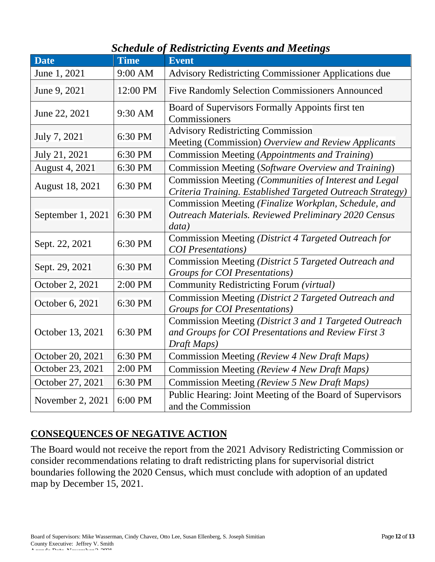# *Schedule of Redistricting Events and Meetings*

| <b>Date</b>            | <b>Time</b> | <b>Event</b>                                                                                                                 |
|------------------------|-------------|------------------------------------------------------------------------------------------------------------------------------|
| June 1, 2021           | $9:00$ AM   | <b>Advisory Redistricting Commissioner Applications due</b>                                                                  |
| June 9, 2021           | 12:00 PM    | <b>Five Randomly Selection Commissioners Announced</b>                                                                       |
| June 22, 2021          | 9:30 AM     | Board of Supervisors Formally Appoints first ten<br>Commissioners                                                            |
| July 7, 2021           | 6:30 PM     | <b>Advisory Redistricting Commission</b><br>Meeting (Commission) Overview and Review Applicants                              |
| July 21, 2021          | 6:30 PM     | Commission Meeting (Appointments and Training)                                                                               |
| <b>August 4, 2021</b>  | 6:30 PM     | Commission Meeting (Software Overview and Training)                                                                          |
| <b>August 18, 2021</b> | 6:30 PM     | Commission Meeting (Communities of Interest and Legal<br>Criteria Training. Established Targeted Outreach Strategy)          |
| September 1, 2021      | 6:30 PM     | Commission Meeting (Finalize Workplan, Schedule, and<br>Outreach Materials. Reviewed Preliminary 2020 Census<br>data)        |
| Sept. 22, 2021         | 6:30 PM     | Commission Meeting (District 4 Targeted Outreach for<br><b>COI</b> Presentations)                                            |
| Sept. 29, 2021         | 6:30 PM     | Commission Meeting (District 5 Targeted Outreach and<br>Groups for COI Presentations)                                        |
| October 2, 2021        | 2:00 PM     | Community Redistricting Forum (virtual)                                                                                      |
| October 6, 2021        | 6:30 PM     | Commission Meeting (District 2 Targeted Outreach and<br><b>Groups for COI Presentations</b> )                                |
| October 13, 2021       | 6:30 PM     | Commission Meeting (District 3 and 1 Targeted Outreach<br>and Groups for COI Presentations and Review First 3<br>Draft Maps) |
| October 20, 2021       | 6:30 PM     | Commission Meeting (Review 4 New Draft Maps)                                                                                 |
| October 23, 2021       | 2:00 PM     | Commission Meeting (Review 4 New Draft Maps)                                                                                 |
| October 27, 2021       | 6:30 PM     | Commission Meeting (Review 5 New Draft Maps)                                                                                 |
| November 2, 2021       | 6:00 PM     | Public Hearing: Joint Meeting of the Board of Supervisors<br>and the Commission                                              |

## **CONSEQUENCES OF NEGATIVE ACTION**

The Board would not receive the report from the 2021 Advisory Redistricting Commission or consider recommendations relating to draft redistricting plans for supervisorial district boundaries following the 2020 Census, which must conclude with adoption of an updated map by December 15, 2021.